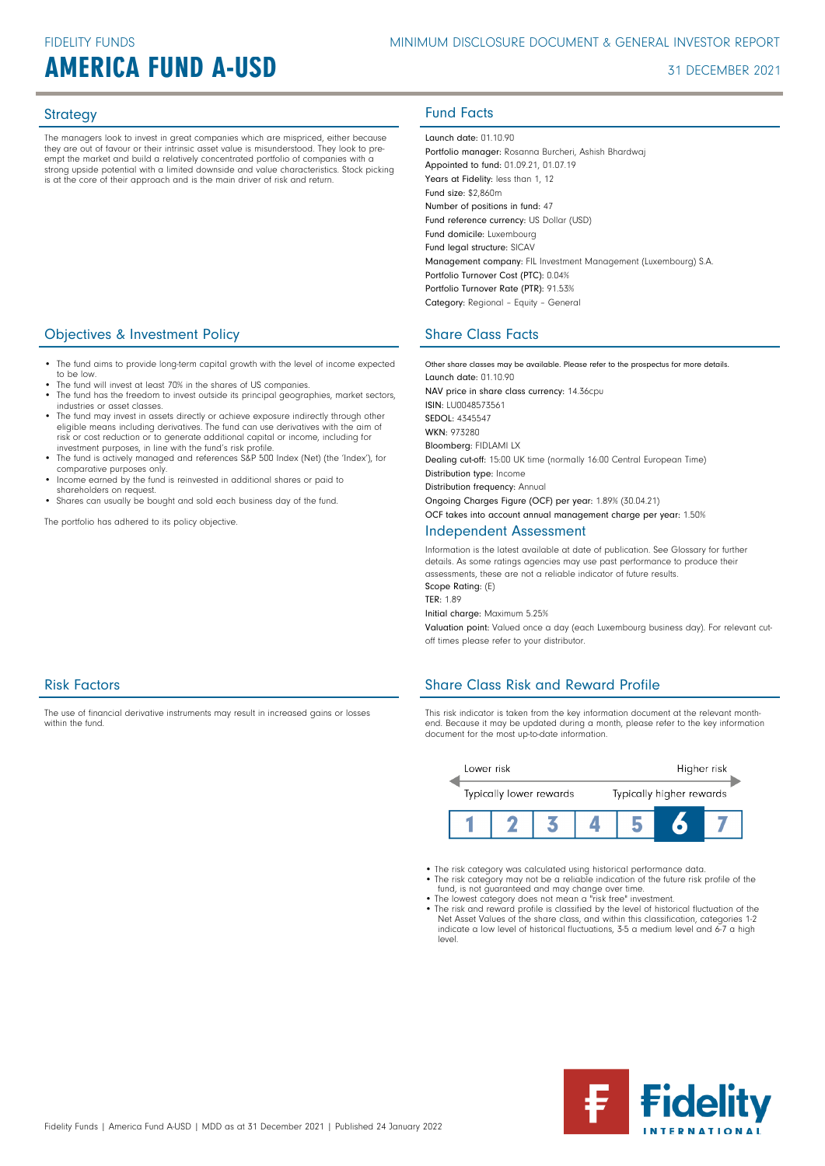# **AMERICA FUND A-USD** 31 DECEMBER 2021

The managers look to invest in great companies which are mispriced, either because they are out of favour or their intrinsic asset value is misunderstood. They look to preempt the market and build a relatively concentrated portfolio of companies with a strong upside potential with a limited downside and value characteristics. Stock picking is at the core of their approach and is the main driver of risk and return.

# **Objectives & Investment Policy Share Class Facts** Share Class Facts

- The fund aims to provide long-term capital growth with the level of income expected to be low.
- The fund will invest at least 70% in the shares of US companies. The fund has the freedom to invest outside its principal geographies, market sectors, industries or asset classes.
- The fund may invest in assets directly or achieve exposure indirectly through other eligible means including derivatives. The fund can use derivatives with the aim of risk or cost reduction or to generate additional capital or income, including for investment purposes, in line with the fund's risk profile.
- The fund is actively managed and references S&P 500 Index (Net) (the 'Index'), for comparative purposes only.
- Income earned by the fund is reinvested in additional shares or paid to shareholders on request.

The use of financial derivative instruments may result in increased gains or losses

• Shares can usually be bought and sold each business day of the fund.

The portfolio has adhered to its policy objective.

# Strategy **Fund Facts**

Launch date: 01.10.90 Portfolio manager: Rosanna Burcheri, Ashish Bhardwaj Appointed to fund: 01.09.21, 01.07.19 Years at Fidelity: less than 1, 12 Fund size: \$2,860m Number of positions in fund: 47 Fund reference currency: US Dollar (USD) Fund domicile: Luxembourg Fund legal structure: SICAV Management company: FIL Investment Management (Luxembourg) S.A. Portfolio Turnover Cost (PTC): 0.04% Portfolio Turnover Rate (PTR): 91.53% Category: Regional – Equity – General

Other share classes may be available. Please refer to the prospectus for more details. Launch date: 01.10.90 NAV price in share class currency: 14.36cpu ISIN: LU0048573561 SEDOL: 4345547 WKN- 973280 Bloomberg: FIDLAMI LX Dealing cut-off: 15:00 UK time (normally 16:00 Central European Time) Distribution type: Income Distribution frequency: Annual Ongoing Charges Figure (OCF) per year: 1.89% (30.04.21) OCF takes into account annual management charge per year: 1.50%

### Independent Assessment

Information is the latest available at date of publication. See Glossary for further details. As some ratings agencies may use past performance to produce their assessments, these are not a reliable indicator of future results. Scope Rating: (E)

TER: 1.89

Initial charge: Maximum 5.25%

Valuation point: Valued once a day (each Luxembourg business day). For relevant cutoff times please refer to your distributor.

# Share Class Risk and Reward Profile

This risk indicator is taken from the key information document at the relevant monthend. Because it may be updated during a month, please refer to the key information document for the most up-to-date information.



- The risk category was calculated using historical performance data.
- The risk category may not be a reliable indication of the future risk profile of the fund, is not guaranteed and may change over time. The lowest category does not mean a "risk free" investment.
- 
- The risk and reward profile is classified by the level of historical fluctuation of the Net Asset Values of the share class, and within this classification, categories 1-2 indicate a low level of historical fluctuations, 3-5 a medium level and 6-7 a high level.



within the fund

Risk Factors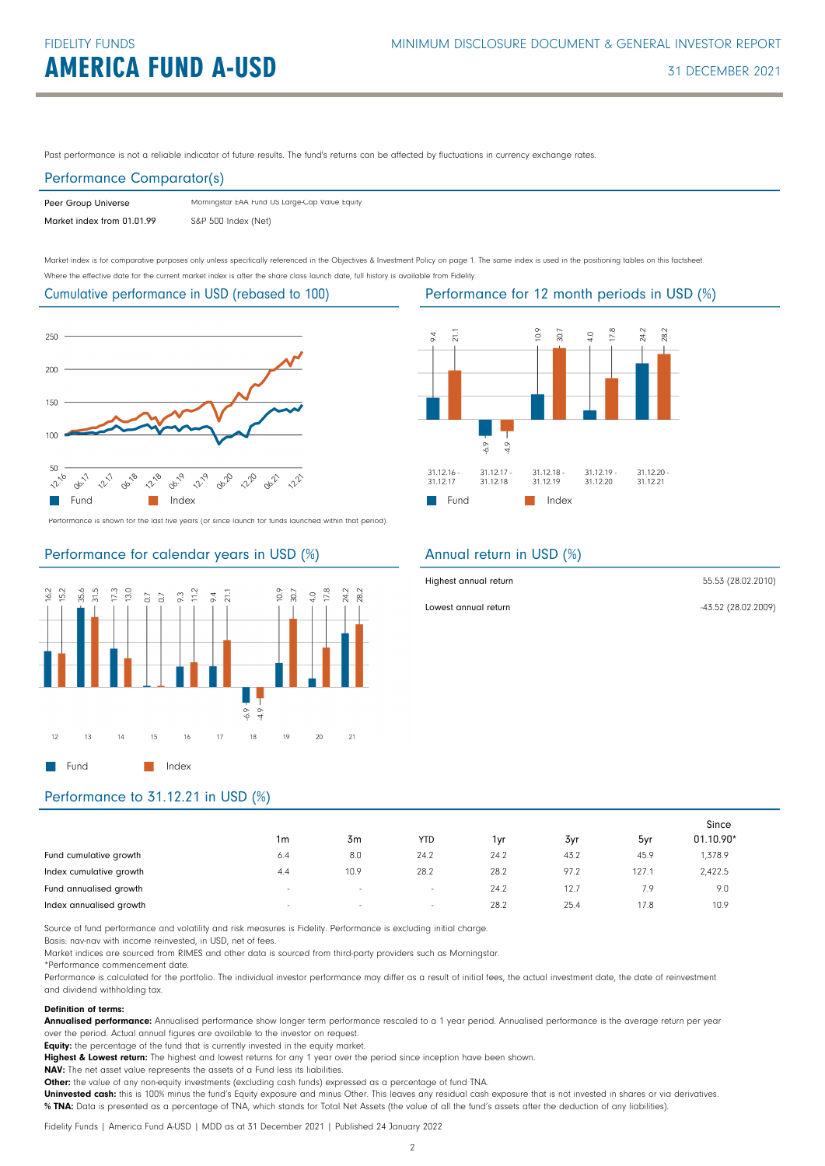Past performance is not a reliable indicator of future results. The fund's returns can be affected by fluctuations in currency exchange rates.

### Performance Comparator(s)

| Peer Group Universe        | Morningstar EAA Fund US Large-Cap Value Equity |
|----------------------------|------------------------------------------------|
| Market index from 01.01.99 | S&P 500 Index (Net)                            |

Market index is for comparative purposes only unless specifically referenced in the Objectives & Investment Policy on page 1. The same index is used in the positioning tables on this factsheet. Where the effective date for the current market index is after the share class launch date, full history is available from Fidelity.

### Cumulative performance in USD (rebased to 100)



Performance is shown for the last five years (or since launch for funds launched within that period).

# Performance for calendar years in USD (%)





# Annual return in USD (%)

| Highest annual return | 55.53 (28.02.2010)  |
|-----------------------|---------------------|
| Lowest annual return  | -43.52 (28.02.2009) |

# Performance to 31.12.21 in USD (%)

|                         |        |                |                          |      |      |       | Since       |  |
|-------------------------|--------|----------------|--------------------------|------|------|-------|-------------|--|
|                         | 1m     | 3 <sub>m</sub> | YTD                      | 1yr  | 3yr  | 5yr   | $01.10.90*$ |  |
| Fund cumulative growth  | 6.4    | 8.0            | 24.2                     | 24.2 | 43.2 | 45.9  | 1,378.9     |  |
| Index cumulative growth | 4.4    | 10.9           | 28.2                     | 28.2 | 97.2 | 127.1 | 2,422.5     |  |
| Fund annualised growth  | $\sim$ | $\sim$         | $\overline{\phantom{a}}$ | 24.2 | 12.7 | 7.9   | 9.0         |  |
| Index annualised growth | $\sim$ | $\sim$         | ٠                        | 28.2 | 25.4 | 17.8  | 10.9        |  |

Source of fund performance and volatility and risk measures is Fidelity. Performance is excluding initial charge.

Basis: nav-nav with income reinvested, in USD, net of fees.

Market indices are sourced from RIMES and other data is sourced from third-party providers such as Morningstar.

\*Performance commencement date.

Performance is calculated for the portfolio. The individual investor performance may differ as a result of initial fees, the actual investment date, the date of reinvestment and dividend withholding tax.

### Definition of terms:

Annualised performance: Annualised performance show longer term performance rescaled to a 1 year period. Annualised performance is the average return per year over the period. Actual annual figures are available to the investor on request.

Equity: the percentage of the fund that is currently invested in the equity market.

Highest & Lowest return: The highest and lowest returns for any 1 year over the period since inception have been shown.

NAV: The net asset value represents the assets of a Fund less its liabilities.

Other: the value of any non-equity investments (excluding cash funds) expressed as a percentage of fund TNA.

Uninvested cash: this is 100% minus the fund's Equity exposure and minus Other. This leaves any residual cash exposure that is not invested in shares or via derivatives. % TNA: Data is presented as a percentage of TNA, which stands for Total Net Assets (the value of all the fund's assets after the deduction of any liabilities).

Fidelity Funds | America Fund A-USD | MDD as at 31 December 2021 | Published 24 January 2022

# Performance for 12 month periods in USD (%)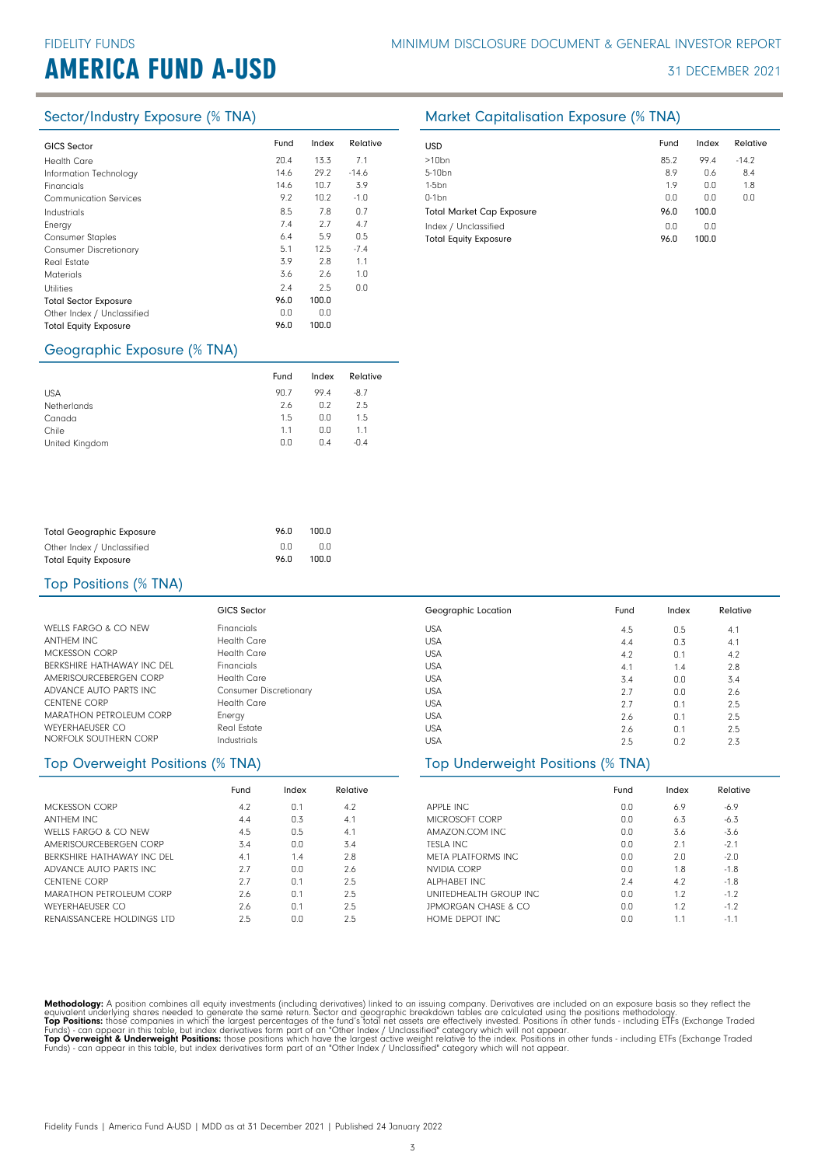# **AMERICA FUND A-USD** 31 DECEMBER 2021

| Fund<br>20.4 | Index<br>13.3 | Relative |
|--------------|---------------|----------|
|              |               |          |
|              |               | 7.1      |
|              | 29.2          | $-14.6$  |
| 14.6         | 10.7          | 3.9      |
| 9.2          | 10.2          | $-1.0$   |
| 8.5          | 7.8           | 0.7      |
| 7.4          | 2.7           | 4.7      |
| 6.4          | 5.9           | 0.5      |
| 5.1          | 12.5          | $-7.4$   |
| 3.9          | 2.8           | 1.1      |
| 3.6          | 2.6           | 1.0      |
| 2.4          | 2.5           | 0.0      |
| 96.0         | 100.0         |          |
| 0.0          | 0.0           |          |
| 96.0         | 100.0         |          |
|              | 14.6          |          |

### Geographic Exposure (% TNA)

|                | Fund | Index | Relative |
|----------------|------|-------|----------|
| <b>USA</b>     | 90.7 | 994   | $-8.7$   |
| Netherlands    | 2.6  | 0.2   | 2.5      |
| Canada         | 1.5  | 0.0   | 1.5      |
| Chile          | 1.1  | 0.0   | 1.1      |
| United Kingdom | 0.0  | 0.4   | $-0.4$   |

| <b>Total Geographic Exposure</b> | 96.0 | 100.0 |
|----------------------------------|------|-------|
| Other Index / Unclassified       | n n  | 0.0   |
| <b>Total Equity Exposure</b>     | 96.0 | 100.0 |

# Top Positions (% TNA)

|                            | <b>GICS Sector</b>            | Geographic Location | Fund | Index | Relative |
|----------------------------|-------------------------------|---------------------|------|-------|----------|
| WELLS FARGO & CO NEW       | <b>Financials</b>             | <b>USA</b>          | 4.5  | 0.5   | 4.1      |
| ANTHEM INC                 | <b>Health Care</b>            | <b>USA</b>          | 4.4  | 0.3   | 4.1      |
| MCKESSON CORP              | <b>Health Care</b>            | <b>USA</b>          | 4.2  | 0.1   | 4.2      |
| BERKSHIRE HATHAWAY INC DEL | <b>Financials</b>             | <b>USA</b>          | 4.1  | 1.4   | 2.8      |
| AMERISOURCEBERGEN CORP     | Health Care                   | <b>USA</b>          | 3.4  | 0.0   | 3.4      |
| ADVANCE AUTO PARTS INC     | <b>Consumer Discretionary</b> | <b>USA</b>          | 2.7  | 0.0   | 2.6      |
| <b>CENTENE CORP</b>        | <b>Health Care</b>            | <b>USA</b>          | 2.7  | 0.1   | 2.5      |
| MARATHON PETROLEUM CORP    | Energy                        | <b>USA</b>          | 2.6  | 0.1   | 2.5      |
| WEYERHAFUSER CO            | Real Estate                   | <b>USA</b>          | 2.6  | 0.1   | 2.5      |
| NORFOLK SOUTHERN CORP      | Industrials                   | <b>USA</b>          | 2.5  | 0.2   | 2.3      |

### Top Overweight Positions (% TNA)

|                                | Fund | Index | Relative |
|--------------------------------|------|-------|----------|
| MCKESSON CORP                  | 4.2  | 0.1   | 4.2      |
| <b>ANTHEM INC</b>              | 4.4  | 0.3   | 4.1      |
| WELLS FARGO & CO NEW           | 4.5  | 0.5   | 4.1      |
| AMERISOURCEBERGEN CORP         | 3.4  | 0.0   | 3.4      |
| RERKSHIRE HATHAWAY INC. DEL    | 4.1  | 14    | 2.8      |
| ADVANCE AUTO PARTS INC.        | 2.7  | 0.0   | 2.6      |
| <b>CENTENE CORP</b>            | 27   | 0.1   | 2.5      |
| <b>MARATHON PETROLEUM CORP</b> | 2.6  | 0.1   | 2.5      |
| <b>WEYERHAEUSER CO</b>         | 26   | 0.1   | 2.5      |
| RENAISSANCERE HOLDINGS LTD     | 2.5  | 0.O   | 2.5      |

| APPLE INC<br><b>MICROSOFT CORP</b> | Fund<br>0.0<br>0.0 | Index<br>6.9<br>6.3 | Relative<br>$-6.9$<br>$-6.3$ |  |  |  |
|------------------------------------|--------------------|---------------------|------------------------------|--|--|--|
| Top Underweight Positions (% TNA)  |                    |                     |                              |  |  |  |
| <b>USA</b>                         | 2.5                | 0.2                 | 2.3                          |  |  |  |
| <b>USA</b>                         | 2.6                | 0.1                 | 2.5                          |  |  |  |
| <b>USA</b>                         | 2.6                | 0.1                 | 2.5                          |  |  |  |
| <b>USA</b>                         | 2.7                | 0.1                 | 2.5                          |  |  |  |
| <b>USA</b>                         | 2.7                | 0.0                 | 2.6                          |  |  |  |
| <b>USA</b>                         | 3.4                | 0.0                 | 3.4                          |  |  |  |
| <b>USA</b>                         | 4.1                | 1.4                 | 2.8                          |  |  |  |
| USA                                | 4.2                | 0.1                 | 4.2                          |  |  |  |

| MICROSOFT CORP         | 0.0 | 6.3 | $-6.3$ |
|------------------------|-----|-----|--------|
| AMAZON.COM INC         | 0.0 | 3.6 | $-3.6$ |
| <b>TFSLA INC.</b>      | 0.0 | 2.1 | $-2.1$ |
| META PLATFORMS INC     | 0.0 | 2.0 | $-2.0$ |
| NVIDIA CORP            | 0.0 | 1.8 | $-1.8$ |
| ALPHARFT INC           | 7.4 | 4.2 | $-1.8$ |
| UNITEDHEALTH GROUP INC | 0.0 | 1.2 | $-1.2$ |
| JPMORGAN CHASE & CO    | 0.0 | 1.2 | $-1.2$ |
| HOME DEPOT INC.        | 0.0 | 1.1 | $-1.1$ |

Methodology: A position combines all equity investments (including derivatives) linked to an issuing company. Derivatives are included on an exposure basis so they reflect the<br>equivalent underlying shares needed to generat

# Sector/Industry Exposure (% TNA) Market Capitalisation Exposure (% TNA)

| <b>USD</b>                       | Fund | Index | Relative |
|----------------------------------|------|-------|----------|
| $>10$ bn                         | 85.2 | 99.4  | $-14.2$  |
| 5-10 <sub>bn</sub>               | 8.9  | 0.6   | 8.4      |
| $1-5$ bn                         | 1.9  | 0.0   | 1.8      |
| $0-1$ bn                         | 0.0  | 0.0   | 0.0      |
| <b>Total Market Cap Exposure</b> | 96.0 | 100.0 |          |
| Index / Unclassified             | 0.0  | 0.0   |          |
| <b>Total Equity Exposure</b>     | 96.0 | 100.0 |          |